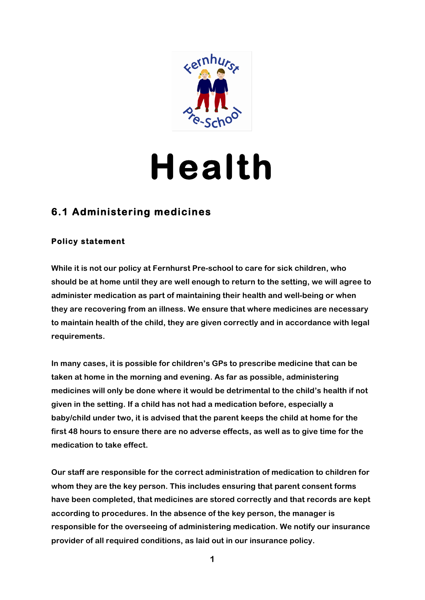

# **Health**

# **6.1 Administering medicines**

## **Policy statement**

**While it is not our policy at Fernhurst Pre-school to care for sick children, who should be at home until they are well enough to return to the setting, we will agree to administer medication as part of maintaining their health and well-being or when they are recovering from an illness. We ensure that where medicines are necessary to maintain health of the child, they are given correctly and in accordance with legal requirements.**

**In many cases, it is possible for children's GPs to prescribe medicine that can be taken at home in the morning and evening. As far as possible, administering medicines will only be done where it would be detrimental to the child's health if not given in the setting. If a child has not had a medication before, especially a baby/child under two, it is advised that the parent keeps the child at home for the first 48 hours to ensure there are no adverse effects, as well as to give time for the medication to take effect.**

**Our staff are responsible for the correct administration of medication to children for whom they are the key person. This includes ensuring that parent consent forms have been completed, that medicines are stored correctly and that records are kept according to procedures. In the absence of the key person, the manager is responsible for the overseeing of administering medication. We notify our insurance provider of all required conditions, as laid out in our insurance policy.**

**1**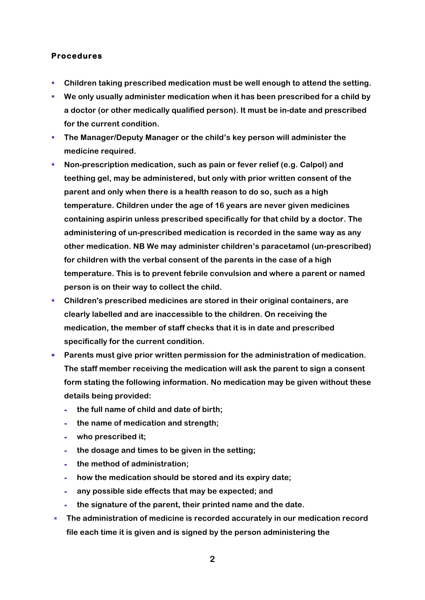#### **Procedures**

- Children taking prescribed medication must be well enough to attend the setting.
- § **We only usually administer medication when it has been prescribed for a child by a doctor (or other medically qualified person). It must be in-date and prescribed for the current condition.**
- § **The Manager/Deputy Manager or the child's key person will administer the medicine required.**
- § **Non-prescription medication, such as pain or fever relief (e.g. Calpol) and teething gel, may be administered, but only with prior written consent of the parent and only when there is a health reason to do so, such as a high temperature. Children under the age of 16 years are never given medicines containing aspirin unless prescribed specifically for that child by a doctor. The administering of un-prescribed medication is recorded in the same way as any other medication. NB We may administer children's paracetamol (un-prescribed) for children with the verbal consent of the parents in the case of a high temperature. This is to prevent febrile convulsion and where a parent or named person is on their way to collect the child.**
- § **Children's prescribed medicines are stored in their original containers, are clearly labelled and are inaccessible to the children. On receiving the medication, the member of staff checks that it is in date and prescribed specifically for the current condition.**
- Parents must give prior written permission for the administration of medication. **The staff member receiving the medication will ask the parent to sign a consent form stating the following information. No medication may be given without these details being provided:**
	- **- the full name of child and date of birth;**
	- **- the name of medication and strength;**
	- **- who prescribed it;**
	- **- the dosage and times to be given in the setting;**
	- **- the method of administration;**
	- **- how the medication should be stored and its expiry date;**
	- **- any possible side effects that may be expected; and**
	- **- the signature of the parent, their printed name and the date.**
- § **The administration of medicine is recorded accurately in our medication record file each time it is given and is signed by the person administering the**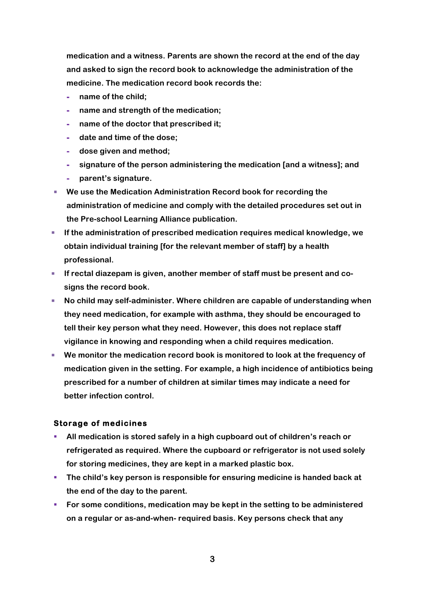**medication and a witness. Parents are shown the record at the end of the day and asked to sign the record book to acknowledge the administration of the medicine. The medication record book records the:**

- **- name of the child;**
- **- name and strength of the medication;**
- **- name of the doctor that prescribed it;**
- **- date and time of the dose;**
- **- dose given and method;**
- **- signature of the person administering the medication [and a witness]; and**
- **- parent's signature.**
- We use the Medication Administration Record book for recording the **administration of medicine and comply with the detailed procedures set out in the Pre-school Learning Alliance publication.**
- § **If the administration of prescribed medication requires medical knowledge, we obtain individual training [for the relevant member of staff] by a health professional.**
- If rectal diazepam is given, another member of staff must be present and co**signs the record book.**
- No child may self-administer. Where children are capable of understanding when **they need medication, for example with asthma, they should be encouraged to tell their key person what they need. However, this does not replace staff vigilance in knowing and responding when a child requires medication.**
- We monitor the medication record book is monitored to look at the frequency of **medication given in the setting. For example, a high incidence of antibiotics being prescribed for a number of children at similar times may indicate a need for better infection control.**

#### **Storage of medicines**

- § **All medication is stored safely in a high cupboard out of children's reach or refrigerated as required. Where the cupboard or refrigerator is not used solely for storing medicines, they are kept in a marked plastic box.**
- § **The child's key person is responsible for ensuring medicine is handed back at the end of the day to the parent.**
- For some conditions, medication may be kept in the setting to be administered **on a regular or as-and-when- required basis. Key persons check that any**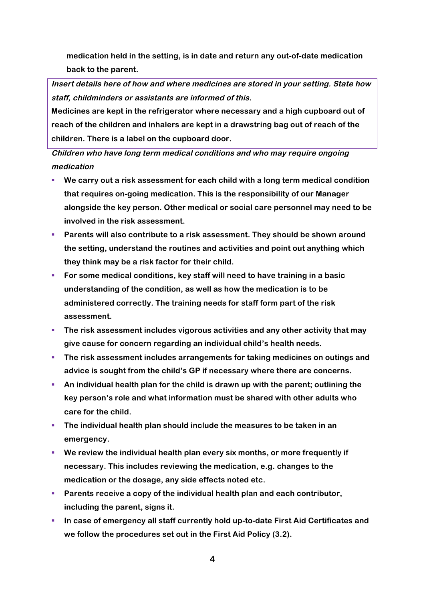**medication held in the setting, is in date and return any out-of-date medication back to the parent.**

**Insert details here of how and where medicines are stored in your setting. State how staff, childminders or assistants are informed of this.**

**Medicines are kept in the refrigerator where necessary and a high cupboard out of reach of the children and inhalers are kept in a drawstring bag out of reach of the children. There is a label on the cupboard door.**

**Children who have long term medical conditions and who may require ongoing medication**

- § **We carry out a risk assessment for each child with a long term medical condition that requires on-going medication. This is the responsibility of our Manager alongside the key person. Other medical or social care personnel may need to be involved in the risk assessment.**
- § **Parents will also contribute to a risk assessment. They should be shown around the setting, understand the routines and activities and point out anything which they think may be a risk factor for their child.**
- § **For some medical conditions, key staff will need to have training in a basic understanding of the condition, as well as how the medication is to be administered correctly. The training needs for staff form part of the risk assessment.**
- **The risk assessment includes vigorous activities and any other activity that may give cause for concern regarding an individual child's health needs.**
- § **The risk assessment includes arrangements for taking medicines on outings and advice is sought from the child's GP if necessary where there are concerns.**
- § **An individual health plan for the child is drawn up with the parent; outlining the key person's role and what information must be shared with other adults who care for the child.**
- § **The individual health plan should include the measures to be taken in an emergency.**
- § **We review the individual health plan every six months, or more frequently if necessary. This includes reviewing the medication, e.g. changes to the medication or the dosage, any side effects noted etc.**
- § **Parents receive a copy of the individual health plan and each contributor, including the parent, signs it.**
- In case of emergency all staff currently hold up-to-date First Aid Certificates and **we follow the procedures set out in the First Aid Policy (3.2).**